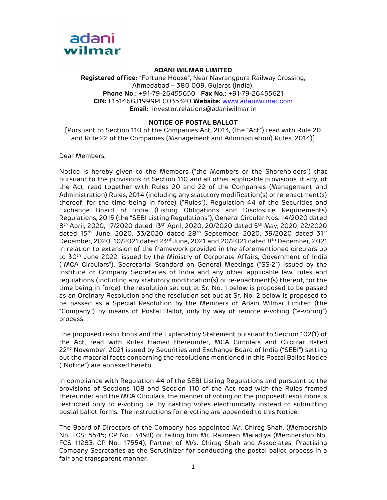

ADANI WILMAR LIMITED

Registered office: "Fortune House", Near Navrangpura Railway Crossing, Ahmedabad – 380 009, Gujarat (India). Phone No.: +91-79-26455650 Fax No.: +91-79-26455621 CIN: L15146GJ1999PLC035320 Website: www.adaniwilmar.com Email: investor.relations@adaniwilmar.in

## NOTICE OF POSTAL BALLOT

[Pursuant to Section 110 of the Companies Act, 2013, (the "Act") read with Rule 20 and Rule 22 of the Companies (Management and Administration) Rules, 2014)]

Dear Members,

Notice is hereby given to the Members ("the Members or the Shareholders") that pursuant to the provisions of Section 110 and all other applicable provisions, if any, of the Act, read together with Rules 20 and 22 of the Companies (Management and Administration) Rules, 2014 (including any statutory modification(s) or re-enactment(s) thereof, for the time being in force) ("Rules"), Regulation 44 of the Securities and Exchange Board of India (Listing Obligations and Disclosure Requirements) Regulations, 2015 (the "SEBI Listing Regulations"), General Circular Nos. 14/2020 dated 8 th April, 2020, 17/2020 dated 13th April, 2020, 20/2020 dated 5th May, 2020, 22/2020 dated 15<sup>th</sup> June, 2020, 33/2020 dated 28<sup>th</sup> September, 2020, 39/2020 dated 31<sup>st</sup> December, 2020, 10/2021 dated  $23<sup>rd</sup>$  June, 2021 and 20/2021 dated  $8<sup>th</sup>$  December, 2021 in relation to extension of the framework provided in the aforementioned circulars up to 30<sup>th</sup> June 2022, issued by the Ministry of Corporate Affairs, Government of India ("MCA Circulars"), Secretarial Standard on General Meetings ("SS-2") issued by the Institute of Company Secretaries of India and any other applicable law, rules and regulations (including any statutory modification(s) or re-enactment(s) thereof, for the time being in force), the resolution set out at Sr. No. 1 below is proposed to be passed as an Ordinary Resolution and the resolution set out at Sr. No. 2 below is proposed to be passed as a Special Resolution by the Members of Adani Wilmar Limited (the "Company") by means of Postal Ballot, only by way of remote e-voting ("e-voting") process.

The proposed resolutions and the Explanatory Statement pursuant to Section 102(1) of the Act, read with Rules framed thereunder, MCA Circulars and Circular dated 22<sup>nd</sup> November, 2021 issued by Securities and Exchange Board of India ("SEBI") setting out the material facts concerning the resolutions mentioned in this Postal Ballot Notice ("Notice") are annexed hereto.

In compliance with Regulation 44 of the SEBI Listing Regulations and pursuant to the provisions of Sections 108 and Section 110 of the Act read with the Rules framed thereunder and the MCA Circulars, the manner of voting on the proposed resolutions is restricted only to e-voting i.e. by casting votes electronically instead of submitting postal ballot forms. The instructions for e-voting are appended to this Notice.

The Board of Directors of the Company has appointed Mr. Chirag Shah, (Membership No. FCS: 5545; CP No.: 3498) or failing him Mr. Raimeen Maradiya (Membership No. FCS 11283, CP No.: 17554), Partner of M/s. Chirag Shah and Associates, Practising Company Secretaries as the Scrutinizer for conducting the postal ballot process in a fair and transparent manner.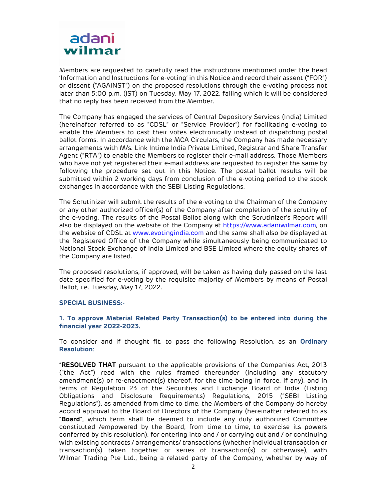

Members are requested to carefully read the instructions mentioned under the head 'Information and Instructions for e-voting' in this Notice and record their assent ("FOR") or dissent ("AGAINST") on the proposed resolutions through the e-voting process not later than 5:00 p.m. (IST) on Tuesday, May 17, 2022, failing which it will be considered that no reply has been received from the Member.

The Company has engaged the services of Central Depository Services (India) Limited (hereinafter referred to as "CDSL" or "Service Provider") for facilitating e-voting to enable the Members to cast their votes electronically instead of dispatching postal ballot forms. In accordance with the MCA Circulars, the Company has made necessary arrangements with M/s. Link Intime India Private Limited, Registrar and Share Transfer Agent ("RTA") to enable the Members to register their e-mail address. Those Members who have not yet registered their e-mail address are requested to register the same by following the procedure set out in this Notice. The postal ballot results will be submitted within 2 working days from conclusion of the e-voting period to the stock exchanges in accordance with the SEBI Listing Regulations.

The Scrutinizer will submit the results of the e-voting to the Chairman of the Company or any other authorized officer(s) of the Company after completion of the scrutiny of the e-voting. The results of the Postal Ballot along with the Scrutinizer's Report will also be displayed on the website of the Company at https://www.adaniwilmar.com, on the website of CDSL at www.evotingindia.com and the same shall also be displayed at the Registered Office of the Company while simultaneously being communicated to National Stock Exchange of India Limited and BSE Limited where the equity shares of the Company are listed.

The proposed resolutions, if approved, will be taken as having duly passed on the last date specified for e-voting by the requisite majority of Members by means of Postal Ballot, i.e. Tuesday, May 17, 2022.

#### SPECIAL BUSINESS:-

#### 1. To approve Material Related Party Transaction(s) to be entered into during the financial year 2022-2023.

To consider and if thought fit, to pass the following Resolution, as an Ordinary Resolution:

"RESOLVED THAT pursuant to the applicable provisions of the Companies Act, 2013 ("the Act") read with the rules framed thereunder (including any statutory amendment(s) or re-enactment(s) thereof, for the time being in force, if any), and in terms of Regulation 23 of the Securities and Exchange Board of India (Listing Obligations and Disclosure Requirements) Regulations, 2015 ("SEBI Listing Regulations"), as amended from time to time, the Members of the Company do hereby accord approval to the Board of Directors of the Company (hereinafter referred to as "Board", which term shall be deemed to include any duly authorized Committee constituted /empowered by the Board, from time to time, to exercise its powers conferred by this resolution), for entering into and / or carrying out and / or continuing with existing contracts / arrangements/ transactions (whether individual transaction or transaction(s) taken together or series of transaction(s) or otherwise), with Wilmar Trading Pte Ltd., being a related party of the Company, whether by way of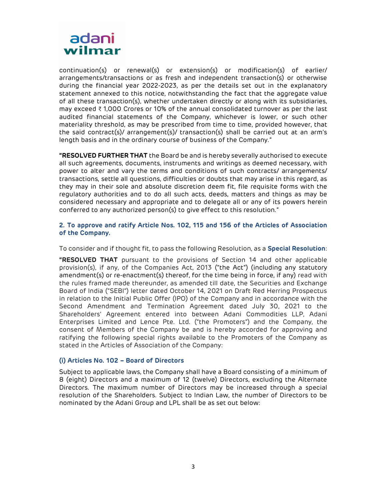

continuation(s) or renewal(s) or extension(s) or modification(s) of earlier/ arrangements/transactions or as fresh and independent transaction(s) or otherwise during the financial year 2022-2023, as per the details set out in the explanatory statement annexed to this notice, notwithstanding the fact that the aggregate value of all these transaction(s), whether undertaken directly or along with its subsidiaries, may exceed ₹ 1,000 Crores or 10% of the annual consolidated turnover as per the last audited financial statements of the Company, whichever is lower, or such other materiality threshold, as may be prescribed from time to time, provided however, that the said contract(s)/ arrangement(s)/ transaction(s) shall be carried out at an arm's length basis and in the ordinary course of business of the Company."

"RESOLVED FURTHER THAT the Board be and is hereby severally authorised to execute all such agreements, documents, instruments and writings as deemed necessary, with power to alter and vary the terms and conditions of such contracts/ arrangements/ transactions, settle all questions, difficulties or doubts that may arise in this regard, as they may in their sole and absolute discretion deem fit, file requisite forms with the regulatory authorities and to do all such acts, deeds, matters and things as may be considered necessary and appropriate and to delegate all or any of its powers herein conferred to any authorized person(s) to give effect to this resolution."

## 2. To approve and ratify Article Nos. 102, 115 and 156 of the Articles of Association of the Company.

To consider and if thought fit, to pass the following Resolution, as a Special Resolution:

**"RESOLVED THAT** pursuant to the provisions of Section 14 and other applicable provision(s), if any, of the Companies Act, 2013 ("the Act") (including any statutory amendment(s) or re-enactment(s) thereof, for the time being in force, if any) read with the rules framed made thereunder, as amended till date, the Securities and Exchange Board of India ("SEBI") letter dated October 14, 2021 on Draft Red Herring Prospectus in relation to the Initial Public Offer (IPO) of the Company and in accordance with the Second Amendment and Termination Agreement dated July 30, 2021 to the Shareholders' Agreement entered into between Adani Commodities LLP, Adani Enterprises Limited and Lence Pte. Ltd. ("the Promoters") and the Company, the consent of Members of the Company be and is hereby accorded for approving and ratifying the following special rights available to the Promoters of the Company as stated in the Articles of Association of the Company:

#### (i) Articles No. 102 – Board of Directors

Subject to applicable laws, the Company shall have a Board consisting of a minimum of 8 (eight) Directors and a maximum of 12 (twelve) Directors, excluding the Alternate Directors. The maximum number of Directors may be increased through a special resolution of the Shareholders. Subject to Indian Law, the number of Directors to be nominated by the Adani Group and LPL shall be as set out below: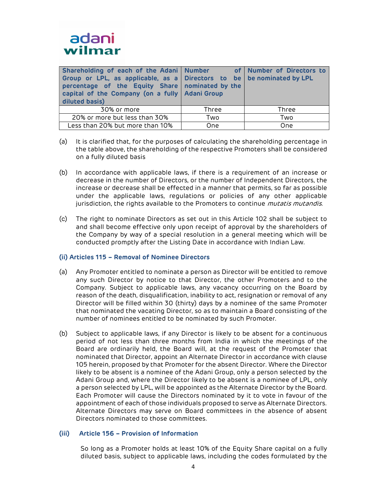

| Shareholding of each of the Adani   Number of   Number of Directors to<br>  Group or LPL, as applicable, as a   Directors to be   be nominated by LPL<br>percentage of the Equity Share nominated by the<br>capital of the Company (on a fully   Adani Group<br>diluted basis) |       |              |
|--------------------------------------------------------------------------------------------------------------------------------------------------------------------------------------------------------------------------------------------------------------------------------|-------|--------------|
| 30% or more                                                                                                                                                                                                                                                                    | Three | <b>Three</b> |
| 20% or more but less than 30%                                                                                                                                                                                                                                                  | Two   | Two          |
| Less than 20% but more than 10%                                                                                                                                                                                                                                                | One   | One          |

- (a) It is clarified that, for the purposes of calculating the shareholding percentage in the table above, the shareholding of the respective Promoters shall be considered on a fully diluted basis
- (b) In accordance with applicable laws, if there is a requirement of an increase or decrease in the number of Directors, or the number of Independent Directors, the increase or decrease shall be effected in a manner that permits, so far as possible under the applicable laws, regulations or policies of any other applicable jurisdiction, the rights available to the Promoters to continue *mutatis mutandis*.
- (c) The right to nominate Directors as set out in this Article 102 shall be subject to and shall become effective only upon receipt of approval by the shareholders of the Company by way of a special resolution in a general meeting which will be conducted promptly after the Listing Date in accordance with Indian Law.

## (ii) Articles 115 – Removal of Nominee Directors

- (a) Any Promoter entitled to nominate a person as Director will be entitled to remove any such Director by notice to that Director, the other Promoters and to the Company. Subject to applicable laws, any vacancy occurring on the Board by reason of the death, disqualification, inability to act, resignation or removal of any Director will be filled within 30 (thirty) days by a nominee of the same Promoter that nominated the vacating Director, so as to maintain a Board consisting of the number of nominees entitled to be nominated by such Promoter.
- (b) Subject to applicable laws, if any Director is likely to be absent for a continuous period of not less than three months from India in which the meetings of the Board are ordinarily held, the Board will, at the request of the Promoter that nominated that Director, appoint an Alternate Director in accordance with clause 105 herein, proposed by that Promoter for the absent Director. Where the Director likely to be absent is a nominee of the Adani Group, only a person selected by the Adani Group and, where the Director likely to be absent is a nominee of LPL, only a person selected by LPL, will be appointed as the Alternate Director by the Board. Each Promoter will cause the Directors nominated by it to vote in favour of the appointment of each of those individuals proposed to serve as Alternate Directors. Alternate Directors may serve on Board committees in the absence of absent Directors nominated to those committees.

## (iii) Article 156 – Provision of Information

So long as a Promoter holds at least 10% of the Equity Share capital on a fully diluted basis, subject to applicable laws, including the codes formulated by the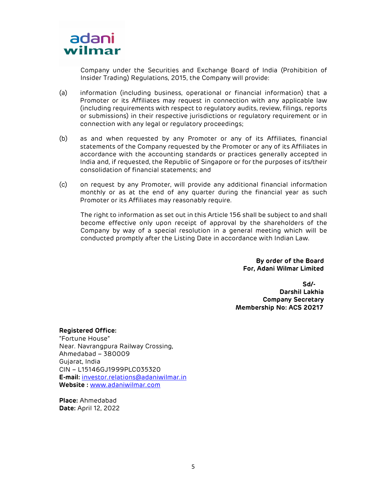

Company under the Securities and Exchange Board of India (Prohibition of Insider Trading) Regulations, 2015, the Company will provide:

- (a) information (including business, operational or financial information) that a Promoter or its Affiliates may request in connection with any applicable law (including requirements with respect to regulatory audits, review, filings, reports or submissions) in their respective jurisdictions or regulatory requirement or in connection with any legal or regulatory proceedings;
- (b) as and when requested by any Promoter or any of its Affiliates, financial statements of the Company requested by the Promoter or any of its Affiliates in accordance with the accounting standards or practices generally accepted in India and, if requested, the Republic of Singapore or for the purposes of its/their consolidation of financial statements; and
- (c) on request by any Promoter, will provide any additional financial information monthly or as at the end of any quarter during the financial year as such Promoter or its Affiliates may reasonably require.

The right to information as set out in this Article 156 shall be subject to and shall become effective only upon receipt of approval by the shareholders of the Company by way of a special resolution in a general meeting which will be conducted promptly after the Listing Date in accordance with Indian Law.

> By order of the Board For, Adani Wilmar Limited

 Sd/- Darshil Lakhia Company Secretary Membership No: ACS 20217

Registered Office: "Fortune House" Near. Navrangpura Railway Crossing, Ahmedabad – 380009 Gujarat, India CIN – L15146GJ1999PLC035320 E-mail: investor.relations@adaniwilmar.in Website : www.adaniwilmar.com

Place: Ahmedabad Date: April 12, 2022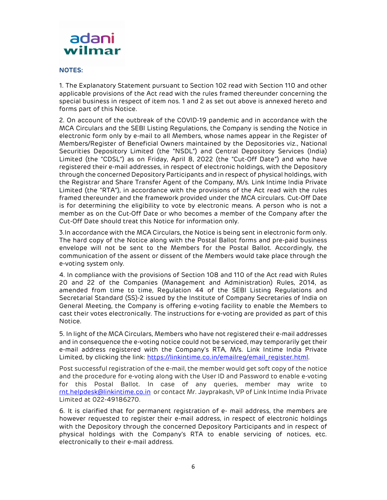

### NOTES:

1. The Explanatory Statement pursuant to Section 102 read with Section 110 and other applicable provisions of the Act read with the rules framed thereunder concerning the special business in respect of item nos. 1 and 2 as set out above is annexed hereto and forms part of this Notice.

2. On account of the outbreak of the COVID-19 pandemic and in accordance with the MCA Circulars and the SEBI Listing Regulations, the Company is sending the Notice in electronic form only by e-mail to all Members, whose names appear in the Register of Members/Register of Beneficial Owners maintained by the Depositories viz., National Securities Depository Limited (the "NSDL") and Central Depository Services (India) Limited (the "CDSL") as on Friday, April 8, 2022 (the "Cut-Off Date") and who have registered their e-mail addresses, in respect of electronic holdings, with the Depository through the concerned Depository Participants and in respect of physical holdings, with the Registrar and Share Transfer Agent of the Company, M/s. Link Intime India Private Limited (the "RTA"), in accordance with the provisions of the Act read with the rules framed thereunder and the framework provided under the MCA circulars. Cut-Off Date is for determining the eligibility to vote by electronic means. A person who is not a member as on the Cut-Off Date or who becomes a member of the Company after the Cut-Off Date should treat this Notice for information only.

3.In accordance with the MCA Circulars, the Notice is being sent in electronic form only. The hard copy of the Notice along with the Postal Ballot forms and pre-paid business envelope will not be sent to the Members for the Postal Ballot. Accordingly, the communication of the assent or dissent of the Members would take place through the e-voting system only.

4. In compliance with the provisions of Section 108 and 110 of the Act read with Rules 20 and 22 of the Companies (Management and Administration) Rules, 2014, as amended from time to time, Regulation 44 of the SEBI Listing Regulations and Secretarial Standard (SS)-2 issued by the Institute of Company Secretaries of India on General Meeting, the Company is offering e-voting facility to enable the Members to cast their votes electronically. The instructions for e-voting are provided as part of this Notice.

5. In light of the MCA Circulars, Members who have not registered their e-mail addresses and in consequence the e-voting notice could not be serviced, may temporarily get their e-mail address registered with the Company's RTA, M/s. Link Intime India Private Limited, by clicking the link: https://linkintime.co.in/emailreg/email\_register.html.

Post successful registration of the e-mail, the member would get soft copy of the notice and the procedure for e-voting along with the User ID and Password to enable e-voting for this Postal Ballot. In case of any queries, member may write to rnt.helpdesk@linkintime.co.in or contact Mr. Jayprakash, VP of Link Intime India Private Limited at 022-49186270.

6. It is clarified that for permanent registration of e- mail address, the members are however requested to register their e-mail address, in respect of electronic holdings with the Depository through the concerned Depository Participants and in respect of physical holdings with the Company's RTA to enable servicing of notices, etc. electronically to their e-mail address.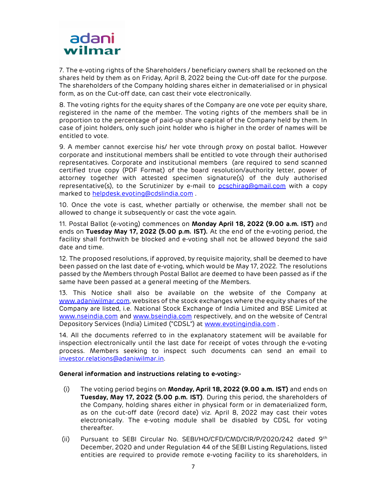# adani wilmar

7. The e-voting rights of the Shareholders / beneficiary owners shall be reckoned on the shares held by them as on Friday, April 8, 2022 being the Cut-off date for the purpose. The shareholders of the Company holding shares either in dematerialised or in physical form, as on the Cut-off date, can cast their vote electronically.

8. The voting rights for the equity shares of the Company are one vote per equity share, registered in the name of the member. The voting rights of the members shall be in proportion to the percentage of paid-up share capital of the Company held by them. In case of joint holders, only such joint holder who is higher in the order of names will be entitled to vote.

9. A member cannot exercise his/ her vote through proxy on postal ballot. However corporate and institutional members shall be entitled to vote through their authorised representatives. Corporate and institutional members (are required to send scanned certified true copy (PDF Format) of the board resolution/authority letter, power of attorney together with attested specimen signature(s) of the duly authorised representative(s), to the Scrutinizer by e-mail to pcschirag@gmail.com with a copy marked to helpdesk.evoting@cdslindia.com .

10. Once the vote is cast, whether partially or otherwise, the member shall not be allowed to change it subsequently or cast the vote again.

11. Postal Ballot (e-voting) commences on Monday April 18, 2022 (9.00 a.m. IST) and ends on Tuesday May 17, 2022 (5.00 p.m. IST). At the end of the e-voting period, the facility shall forthwith be blocked and e-voting shall not be allowed beyond the said date and time.

12. The proposed resolutions, if approved, by requisite majority, shall be deemed to have been passed on the last date of e-voting, which would be May 17, 2022. The resolutions passed by the Members through Postal Ballot are deemed to have been passed as if the same have been passed at a general meeting of the Members.

13. This Notice shall also be available on the website of the Company at www.adaniwilmar.com, websites of the stock exchanges where the equity shares of the Company are listed, i.e. National Stock Exchange of India Limited and BSE Limited at www.nseindia.com and www.bseindia.com respectively, and on the website of Central Depository Services (India) Limited ("CDSL") at www.evotingindia.com .

14. All the documents referred to in the explanatory statement will be available for inspection electronically until the last date for receipt of votes through the e-voting process. Members seeking to inspect such documents can send an email to investor.relations@adaniwilmar.in.

## General information and instructions relating to e-voting:-

- (i) The voting period begins on Monday, April 18, 2022 (9.00 a.m. IST) and ends on Tuesday, May 17, 2022 (5.00 p.m. IST). During this period, the shareholders of the Company, holding shares either in physical form or in dematerialized form, as on the cut-off date (record date) viz. April 8, 2022 may cast their votes electronically. The e-voting module shall be disabled by CDSL for voting thereafter.
- (ii) Pursuant to SEBI Circular No. SEBI/HO/CFD/CMD/CIR/P/2020/242 dated 9th December, 2020 and under Regulation 44 of the SEBI Listing Regulations, listed entities are required to provide remote e-voting facility to its shareholders, in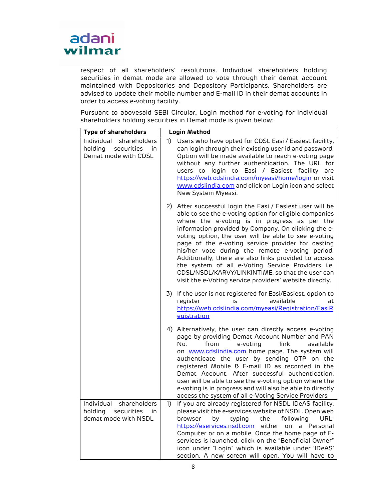

respect of all shareholders' resolutions. Individual shareholders holding securities in demat mode are allowed to vote through their demat account maintained with Depositories and Depository Participants. Shareholders are advised to update their mobile number and E-mail ID in their demat accounts in order to access e-voting facility.

Pursuant to abovesaid SEBI Circular, Login method for e-voting for Individual shareholders holding securities in Demat mode is given below:

| Type of shareholders                                                            | Login Method                                                                                                                                                                                                                                                                                                                                                                                                                                                                                                                                                                                                            |  |
|---------------------------------------------------------------------------------|-------------------------------------------------------------------------------------------------------------------------------------------------------------------------------------------------------------------------------------------------------------------------------------------------------------------------------------------------------------------------------------------------------------------------------------------------------------------------------------------------------------------------------------------------------------------------------------------------------------------------|--|
| Individual shareholders<br>holding<br>securities<br>in.<br>Demat mode with CDSL | 1)<br>Users who have opted for CDSL Easi / Easiest facility,<br>can login through their existing user id and password.<br>Option will be made available to reach e-voting page<br>without any further authentication. The URL for<br>users to login to Easi / Easiest facility are<br>https://web.cdslindia.com/myeasi/home/login or visit<br>www.cdslindia.com and click on Login icon and select<br>New System Myeasi.                                                                                                                                                                                                |  |
|                                                                                 | 2) After successful login the Easi / Easiest user will be<br>able to see the e-voting option for eligible companies<br>where the e-voting is in progress as per the<br>information provided by Company. On clicking the e-<br>voting option, the user will be able to see e-voting<br>page of the e-voting service provider for casting<br>his/her vote during the remote e-voting period.<br>Additionally, there are also links provided to access<br>the system of all e-Voting Service Providers i.e.<br>CDSL/NSDL/KARVY/LINKINTIME, so that the user can<br>visit the e-Voting service providers' website directly. |  |
|                                                                                 | 3)<br>If the user is not registered for Easi/Easiest, option to<br>available<br>register<br>İS.<br>at<br>https://web.cdslindia.com/myeasi/Registration/EasiR<br>egistration                                                                                                                                                                                                                                                                                                                                                                                                                                             |  |
|                                                                                 | 4) Alternatively, the user can directly access e-voting<br>page by providing Demat Account Number and PAN<br>No.<br>from<br>e-voting<br>link<br>available<br>on www.cdslindia.com home page. The system will<br>authenticate the user by sending OTP on the<br>registered Mobile & E-mail ID as recorded in the<br>Demat Account. After successful authentication,<br>user will be able to see the e-voting option where the<br>e-voting is in progress and will also be able to directly<br>access the system of all e-Voting Service Providers.                                                                       |  |
| Individual shareholders<br>holding securities in<br>demat mode with NSDL        | If you are already registered for NSDL IDeAS facility,<br>1)<br>please visit the e-services website of NSDL. Open web<br>the<br>following<br>URL:<br>browser<br>by<br>typing<br>https://eservices.nsdl.com<br>either on a Personal<br>Computer or on a mobile. Once the home page of E-<br>services is launched, click on the "Beneficial Owner"<br>icon under "Login" which is available under 'IDeAS'<br>section. A new screen will open. You will have to                                                                                                                                                            |  |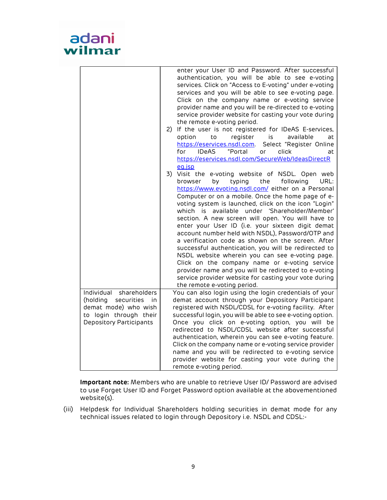

|                                                                                                                                         | enter your User ID and Password. After successful<br>authentication, you will be able to see e-voting<br>services. Click on "Access to E-voting" under e-voting<br>services and you will be able to see e-voting page.                                                                                                                                                                                                                                                                                                                                                                                                                                                                                                                                                                                                                                              |
|-----------------------------------------------------------------------------------------------------------------------------------------|---------------------------------------------------------------------------------------------------------------------------------------------------------------------------------------------------------------------------------------------------------------------------------------------------------------------------------------------------------------------------------------------------------------------------------------------------------------------------------------------------------------------------------------------------------------------------------------------------------------------------------------------------------------------------------------------------------------------------------------------------------------------------------------------------------------------------------------------------------------------|
|                                                                                                                                         | Click on the company name or e-voting service<br>provider name and you will be re-directed to e-voting<br>service provider website for casting your vote during                                                                                                                                                                                                                                                                                                                                                                                                                                                                                                                                                                                                                                                                                                     |
|                                                                                                                                         | the remote e-voting period.<br>If the user is not registered for IDeAS E-services,<br>2)<br>register<br>option<br>to<br>is<br>available<br>at<br>Select "Register Online<br>https://eservices.nsdl.com.<br>"Portal<br><b>IDeAS</b><br>for<br>click<br>or<br>at<br>https://eservices.nsdl.com/SecureWeb/IdeasDirectR                                                                                                                                                                                                                                                                                                                                                                                                                                                                                                                                                 |
|                                                                                                                                         | eq.jsp<br>3) Visit the e-voting website of NSDL. Open web<br>browser<br>by<br>typing<br>the<br>following<br>URL:<br>https://www.evoting.nsdl.com/ either on a Personal<br>Computer or on a mobile. Once the home page of e-<br>voting system is launched, click on the icon "Login"<br>which is available under 'Shareholder/Member'<br>section. A new screen will open. You will have to<br>enter your User ID (i.e. your sixteen digit demat<br>account number held with NSDL), Password/OTP and<br>a verification code as shown on the screen. After<br>successful authentication, you will be redirected to<br>NSDL website wherein you can see e-voting page.<br>Click on the company name or e-voting service<br>provider name and you will be redirected to e-voting<br>service provider website for casting your vote during<br>the remote e-voting period. |
| Individual<br>shareholders<br>(holding<br>securities<br>in<br>demat mode) who wish<br>to login through their<br>Depository Participants | You can also login using the login credentials of your<br>demat account through your Depository Participant<br>registered with NSDL/CDSL for e-voting facility. After<br>successful login, you will be able to see e-voting option.<br>Once you click on e-voting option, you will be<br>redirected to NSDL/CDSL website after successful<br>authentication, wherein you can see e-voting feature.<br>Click on the company name or e-voting service provider<br>name and you will be redirected to e-voting service<br>provider website for casting your vote during the<br>remote e-voting period.                                                                                                                                                                                                                                                                 |

Important note: Members who are unable to retrieve User ID/ Password are advised to use Forget User ID and Forget Password option available at the abovementioned website(s).

(iii) Helpdesk for Individual Shareholders holding securities in demat mode for any technical issues related to login through Depository i.e. NSDL and CDSL:-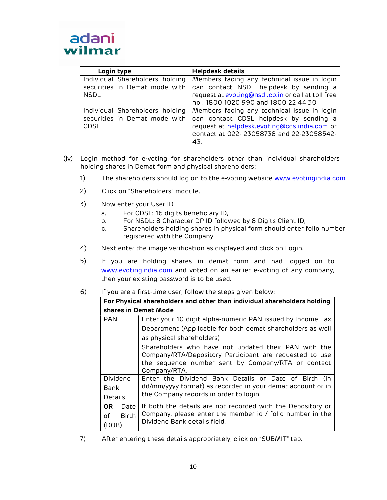| Login type                                                                      | <b>Helpdesk details</b>                                                                                                                                                                  |
|---------------------------------------------------------------------------------|------------------------------------------------------------------------------------------------------------------------------------------------------------------------------------------|
| Individual Shareholders holding<br>securities in Demat mode with<br><b>NSDL</b> | Members facing any technical issue in login<br>can contact NSDL helpdesk by sending a<br>request at evoting@nsdl.co.in or call at toll free<br>no.: 1800 1020 990 and 1800 22 44 30      |
| Individual Shareholders holding<br>securities in Demat mode with<br><b>CDSL</b> | Members facing any technical issue in login<br>can contact CDSL helpdesk by sending a<br>request at helpdesk.evoting@cdslindia.com or<br>contact at 022-23058738 and 22-23058542-<br>43. |

- (iv) Login method for e-voting for shareholders other than individual shareholders holding shares in Demat form and physical shareholders:
	- 1) The shareholders should log on to the e-voting website www.evotingindia.com.
	- 2) Click on "Shareholders" module.
	- 3) Now enter your User ID
		- a. For CDSL: 16 digits beneficiary ID,
		- b. For NSDL: 8 Character DP ID followed by 8 Digits Client ID,
		- c. Shareholders holding shares in physical form should enter folio number registered with the Company.
	- 4) Next enter the image verification as displayed and click on Login.
	- 5) If you are holding shares in demat form and had logged on to www.evotingindia.com and voted on an earlier e-voting of any company, then your existing password is to be used.
	- 6) If you are a first-time user, follow the steps given below:

| For Physical shareholders and other than individual shareholders holding |                                                                                                                                                                                       |  |  |
|--------------------------------------------------------------------------|---------------------------------------------------------------------------------------------------------------------------------------------------------------------------------------|--|--|
|                                                                          | shares in Demat Mode                                                                                                                                                                  |  |  |
| <b>PAN</b>                                                               | Enter your 10 digit alpha-numeric PAN issued by Income Tax                                                                                                                            |  |  |
|                                                                          | Department (Applicable for both demat shareholders as well                                                                                                                            |  |  |
|                                                                          | as physical shareholders)                                                                                                                                                             |  |  |
|                                                                          | Shareholders who have not updated their PAN with the<br>Company/RTA/Depository Participant are requested to use<br>the sequence number sent by Company/RTA or contact<br>Company/RTA. |  |  |
| Dividend                                                                 | Enter the Dividend Bank Details or Date of Birth (in                                                                                                                                  |  |  |
| dd/mm/yyyy format) as recorded in your demat account or in<br>Bank       |                                                                                                                                                                                       |  |  |
| Details                                                                  | the Company records in order to login.                                                                                                                                                |  |  |
| OR.<br>Date<br><b>Birth</b><br>Ωf<br>(DOB)                               | If both the details are not recorded with the Depository or<br>Company, please enter the member id / folio number in the<br>Dividend Bank details field.                              |  |  |

7) After entering these details appropriately, click on "SUBMIT" tab.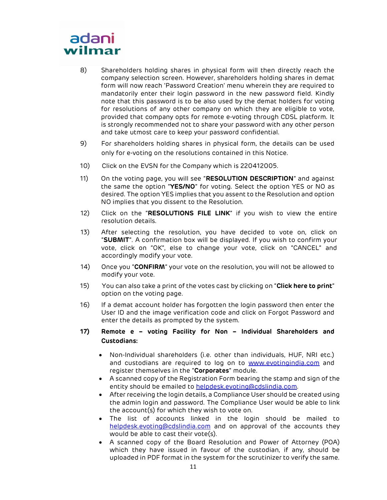# adani wilmar

- 8) Shareholders holding shares in physical form will then directly reach the company selection screen. However, shareholders holding shares in demat form will now reach 'Password Creation' menu wherein they are required to mandatorily enter their login password in the new password field. Kindly note that this password is to be also used by the demat holders for voting for resolutions of any other company on which they are eligible to vote, provided that company opts for remote e-voting through CDSL platform. It is strongly recommended not to share your password with any other person and take utmost care to keep your password confidential.
- 9) For shareholders holding shares in physical form, the details can be used only for e-voting on the resolutions contained in this Notice.
- 10) Click on the EVSN for the Company which is 220412005.
- 11) On the voting page, you will see "RESOLUTION DESCRIPTION" and against the same the option "YES/NO" for voting. Select the option YES or NO as desired. The option YES implies that you assent to the Resolution and option NO implies that you dissent to the Resolution.
- 12) Click on the "RESOLUTIONS FILE LINK" if you wish to view the entire resolution details.
- 13) After selecting the resolution, you have decided to vote on, click on "SUBMIT". A confirmation box will be displayed. If you wish to confirm your vote, click on "OK", else to change your vote, click on "CANCEL" and accordingly modify your vote.
- 14) Once you "CONFIRM" your vote on the resolution, you will not be allowed to modify your vote.
- 15) You can also take a print of the votes cast by clicking on "**Click here to print**" option on the voting page.
- 16) If a demat account holder has forgotten the login password then enter the User ID and the image verification code and click on Forgot Password and enter the details as prompted by the system.
- 17) Remote e voting Facility for Non Individual Shareholders and Custodians:
	- Non-Individual shareholders (i.e. other than individuals, HUF, NRI etc.) and custodians are required to log on to www.evotingindia.com and register themselves in the "Corporates" module.
	- A scanned copy of the Registration Form bearing the stamp and sign of the entity should be emailed to helpdesk.evoting@cdslindia.com.
	- After receiving the login details, a Compliance User should be created using the admin login and password. The Compliance User would be able to link the account(s) for which they wish to vote on.
	- The list of accounts linked in the login should be mailed to helpdesk.evoting@cdslindia.com and on approval of the accounts they would be able to cast their vote(s).
	- A scanned copy of the Board Resolution and Power of Attorney (POA) which they have issued in favour of the custodian, if any, should be uploaded in PDF format in the system for the scrutinizer to verify the same.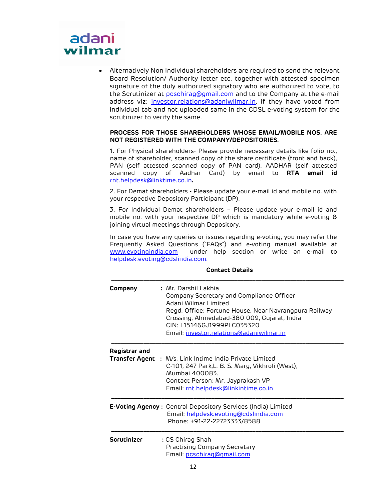# adani wilmar

 Alternatively Non Individual shareholders are required to send the relevant Board Resolution/ Authority letter etc. together with attested specimen signature of the duly authorized signatory who are authorized to vote, to the Scrutinizer at **pcschirag@gmail.com** and to the Company at the e-mail address viz; investor.relations@adaniwilmar.in, if they have voted from individual tab and not uploaded same in the CDSL e-voting system for the scrutinizer to verify the same.

## PROCESS FOR THOSE SHAREHOLDERS WHOSE EMAIL/MOBILE NOS. ARE NOT REGISTERED WITH THE COMPANY/DEPOSITORIES.

1. For Physical shareholders- Please provide necessary details like folio no., name of shareholder, scanned copy of the share certificate (front and back), PAN (self attested scanned copy of PAN card), AADHAR (self attested scanned copy of Aadhar Card) by email to RTA email id rnt.helpdesk@linktime.co.in.

2. For Demat shareholders - Please update your e-mail id and mobile no. with your respective Depository Participant (DP).

3. For Individual Demat shareholders – Please update your e-mail id and mobile no. with your respective DP which is mandatory while e-voting & joining virtual meetings through Depository.

In case you have any queries or issues regarding e-voting, you may refer the Frequently Asked Questions ("FAQs") and e-voting manual available at www.evotingindia.com under help section or write an e-mail to helpdesk.evoting@cdslindia.com.

| Company            | : Mr. Darshil Lakhia<br>Company Secretary and Compliance Officer<br>Adani Wilmar Limited<br>Regd. Office: Fortune House, Near Navrangpura Railway<br>Crossing, Ahmedabad-380 009, Gujarat, India<br>CIN: L15146GJ1999PLC035320<br>Email: investor.relations@adaniwilmar.in |
|--------------------|----------------------------------------------------------------------------------------------------------------------------------------------------------------------------------------------------------------------------------------------------------------------------|
| Registrar and      | Transfer Agent : M/s. Link Intime India Private Limited<br>C-101, 247 Park, L. B. S. Marg, Vikhroli (West),<br>Mumbai 400083.<br>Contact Person: Mr. Jayprakash VP<br>Email: rnt.helpdesk@linkintime.co.in                                                                 |
|                    | <b>E-Voting Agency:</b> Central Depository Services (India) Limited<br>Email: helpdesk.evoting@cdslindia.com<br>Phone: +91-22-22723333/8588                                                                                                                                |
| <b>Scrutinizer</b> | : CS Chirag Shah<br>Practising Company Secretary<br>Email: pcschirag@gmail.com                                                                                                                                                                                             |

#### Contact Details \_\_\_\_\_\_\_\_\_\_\_\_\_\_\_\_\_\_\_\_\_\_\_\_\_\_\_\_\_\_\_\_\_\_\_\_\_\_\_\_\_\_\_\_\_\_\_\_\_\_\_\_\_\_\_\_\_\_\_\_\_\_\_\_\_\_\_\_\_\_\_\_\_\_\_\_\_\_\_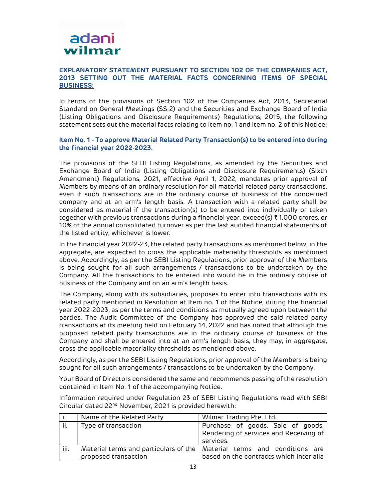

### EXPLANATORY STATEMENT PURSUANT TO SECTION 102 OF THE COMPANIES ACT, 2013 SETTING OUT THE MATERIAL FACTS CONCERNING ITEMS OF SPECIAL BUSINESS:

In terms of the provisions of Section 102 of the Companies Act, 2013, Secretarial Standard on General Meetings (SS-2) and the Securities and Exchange Board of India (Listing Obligations and Disclosure Requirements) Regulations, 2015, the following statement sets out the material facts relating to Item no. 1 and Item no. 2 of this Notice:

## Item No. 1 - To approve Material Related Party Transaction(s) to be entered into during the financial year 2022-2023.

The provisions of the SEBI Listing Regulations, as amended by the Securities and Exchange Board of India (Listing Obligations and Disclosure Requirements) (Sixth Amendment) Regulations, 2021, effective April 1, 2022, mandates prior approval of Members by means of an ordinary resolution for all material related party transactions, even if such transactions are in the ordinary course of business of the concerned company and at an arm's length basis. A transaction with a related party shall be considered as material if the transaction(s) to be entered into individually or taken together with previous transactions during a financial year, exceed(s) ₹ 1,000 crores, or 10% of the annual consolidated turnover as per the last audited financial statements of the listed entity, whichever is lower.

In the financial year 2022-23, the related party transactions as mentioned below, in the aggregate, are expected to cross the applicable materiality thresholds as mentioned above. Accordingly, as per the SEBI Listing Regulations, prior approval of the Members is being sought for all such arrangements / transactions to be undertaken by the Company. All the transactions to be entered into would be in the ordinary course of business of the Company and on an arm's length basis.

The Company, along with its subsidiaries, proposes to enter into transactions with its related party mentioned in Resolution at Item no. 1 of the Notice, during the financial year 2022-2023, as per the terms and conditions as mutually agreed upon between the parties. The Audit Committee of the Company has approved the said related party transactions at its meeting held on February 14, 2022 and has noted that although the proposed related party transactions are in the ordinary course of business of the Company and shall be entered into at an arm's length basis, they may, in aggregate, cross the applicable materiality thresholds as mentioned above.

Accordingly, as per the SEBI Listing Regulations, prior approval of the Members is being sought for all such arrangements / transactions to be undertaken by the Company.

Your Board of Directors considered the same and recommends passing of the resolution contained in Item No. 1 of the accompanying Notice.

Information required under Regulation 23 of SEBI Listing Regulations read with SEBI Circular dated 22nd November, 2021 is provided herewith:

| ۱.   | Name of the Related Party | Wilmar Trading Pte. Ltd.                                                                                             |
|------|---------------------------|----------------------------------------------------------------------------------------------------------------------|
| ii.  | Type of transaction       | Purchase of goods, Sale of goods,<br>Rendering of services and Receiving of<br>services.                             |
| iii. | proposed transaction      | Material terms and particulars of the   Material terms and conditions are<br>based on the contracts which inter alia |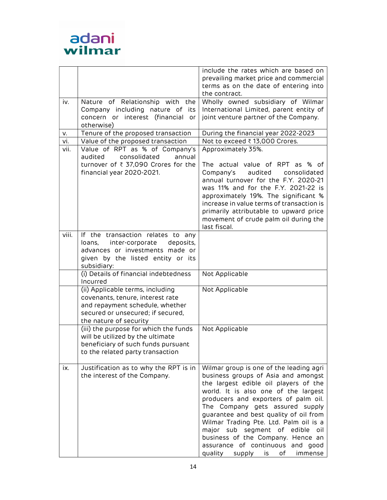

|       |                                                                                                                                                                        | include the rates which are based on<br>prevailing market price and commercial                                                                                                                                                                                                                                                                                                                                                                                                         |
|-------|------------------------------------------------------------------------------------------------------------------------------------------------------------------------|----------------------------------------------------------------------------------------------------------------------------------------------------------------------------------------------------------------------------------------------------------------------------------------------------------------------------------------------------------------------------------------------------------------------------------------------------------------------------------------|
|       |                                                                                                                                                                        | terms as on the date of entering into<br>the contract.                                                                                                                                                                                                                                                                                                                                                                                                                                 |
| iv.   | Nature of Relationship with the<br>Company including nature of its<br>concern or interest (financial<br>or<br>otherwise)                                               | Wholly owned subsidiary of Wilmar<br>International Limited, parent entity of<br>joint venture partner of the Company.                                                                                                                                                                                                                                                                                                                                                                  |
| v.    | Tenure of the proposed transaction                                                                                                                                     | During the financial year 2022-2023                                                                                                                                                                                                                                                                                                                                                                                                                                                    |
| vi.   | Value of the proposed transaction                                                                                                                                      | Not to exceed ₹13,000 Crores.                                                                                                                                                                                                                                                                                                                                                                                                                                                          |
| vii.  | Value of RPT as % of Company's<br>audited<br>consolidated<br>annual<br>turnover of ₹ 37,090 Crores for the<br>financial year 2020-2021.                                | Approximately 35%.<br>The actual value of RPT as % of<br>Company's<br>audited<br>consolidated<br>annual turnover for the F.Y. 2020-21<br>was 11% and for the F.Y. 2021-22 is<br>approximately 19%. The significant %<br>increase in value terms of transaction is<br>primarily attributable to upward price<br>movement of crude palm oil during the<br>last fiscal.                                                                                                                   |
| viii. | If the transaction relates to any<br>loans, inter-corporate<br>deposits,<br>advances or investments made or<br>given by the listed entity or its<br>subsidiary:        |                                                                                                                                                                                                                                                                                                                                                                                                                                                                                        |
|       | (i) Details of financial indebtedness<br>Incurred                                                                                                                      | Not Applicable                                                                                                                                                                                                                                                                                                                                                                                                                                                                         |
|       | (ii) Applicable terms, including<br>covenants, tenure, interest rate<br>and repayment schedule, whether<br>secured or unsecured; if secured,<br>the nature of security | Not Applicable                                                                                                                                                                                                                                                                                                                                                                                                                                                                         |
|       | (iii) the purpose for which the funds<br>will be utilized by the ultimate<br>beneficiary of such funds pursuant<br>to the related party transaction                    | Not Applicable                                                                                                                                                                                                                                                                                                                                                                                                                                                                         |
| ix.   | Justification as to why the RPT is in<br>the interest of the Company.                                                                                                  | Wilmar group is one of the leading agri<br>business groups of Asia and amongst<br>the largest edible oil players of the<br>world. It is also one of the largest<br>producers and exporters of palm oil.<br>The Company gets assured supply<br>guarantee and best quality of oil from<br>Wilmar Trading Pte. Ltd. Palm oil is a<br>major sub segment of edible<br>oil<br>business of the Company. Hence an<br>assurance of continuous and good<br>quality supply<br>is<br>of<br>immense |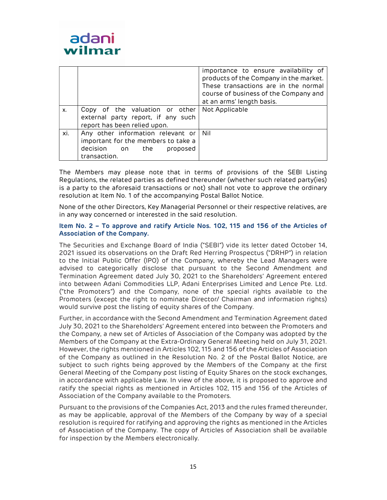

|           |                                                                                                                             | importance to ensure availability of<br>products of the Company in the market.<br>These transactions are in the normal<br>course of business of the Company and<br>at an arms' length basis. |
|-----------|-----------------------------------------------------------------------------------------------------------------------------|----------------------------------------------------------------------------------------------------------------------------------------------------------------------------------------------|
| <b>X.</b> | Copy of the valuation or other<br>external party report, if any such<br>report has been relied upon.                        | Not Applicable                                                                                                                                                                               |
| xi.       | Any other information relevant or Nil<br>important for the members to take a<br>decision on the<br>proposed<br>transaction. |                                                                                                                                                                                              |

The Members may please note that in terms of provisions of the SEBI Listing Regulations, the related parties as defined thereunder (whether such related party(ies) is a party to the aforesaid transactions or not) shall not vote to approve the ordinary resolution at Item No. 1 of the accompanying Postal Ballot Notice.

None of the other Directors, Key Managerial Personnel or their respective relatives, are in any way concerned or interested in the said resolution.

### Item No. 2 – To approve and ratify Article Nos. 102, 115 and 156 of the Articles of Association of the Company.

The Securities and Exchange Board of India ("SEBI") vide its letter dated October 14, 2021 issued its observations on the Draft Red Herring Prospectus ("DRHP") in relation to the Initial Public Offer (IPO) of the Company, whereby the Lead Managers were advised to categorically disclose that pursuant to the Second Amendment and Termination Agreement dated July 30, 2021 to the Shareholders' Agreement entered into between Adani Commodities LLP, Adani Enterprises Limited and Lence Pte. Ltd. ("the Promoters") and the Company, none of the special rights available to the Promoters (except the right to nominate Director/ Chairman and information rights) would survive post the listing of equity shares of the Company.

Further, in accordance with the Second Amendment and Termination Agreement dated July 30, 2021 to the Shareholders' Agreement entered into between the Promoters and the Company, a new set of Articles of Association of the Company was adopted by the Members of the Company at the Extra-Ordinary General Meeting held on July 31, 2021. However, the rights mentioned in Articles 102, 115 and 156 of the Articles of Association of the Company as outlined in the Resolution No. 2 of the Postal Ballot Notice, are subject to such rights being approved by the Members of the Company at the first General Meeting of the Company post listing of Equity Shares on the stock exchanges, in accordance with applicable Law. In view of the above, it is proposed to approve and ratify the special rights as mentioned in Articles 102, 115 and 156 of the Articles of Association of the Company available to the Promoters.

Pursuant to the provisions of the Companies Act, 2013 and the rules framed thereunder, as may be applicable, approval of the Members of the Company by way of a special resolution is required for ratifying and approving the rights as mentioned in the Articles of Association of the Company. The copy of Articles of Association shall be available for inspection by the Members electronically.